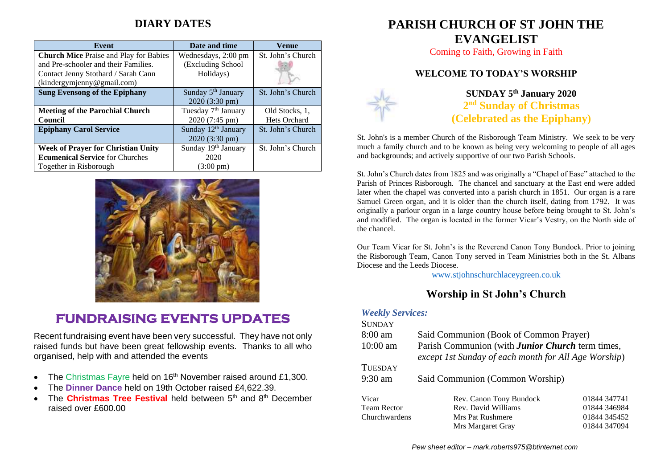## **DIARY DATES**

| <b>Event</b>                                  | Date and time                   | Venue             |
|-----------------------------------------------|---------------------------------|-------------------|
| <b>Church Mice Praise and Play for Babies</b> | Wednesdays, 2:00 pm             | St. John's Church |
| and Pre-schooler and their Families.          | (Excluding School               |                   |
| Contact Jenny Stothard / Sarah Cann           | Holidays)                       |                   |
| (kindergymjenny@gmail.com)                    |                                 |                   |
| <b>Sung Evensong of the Epiphany</b>          | Sunday 5 <sup>th</sup> January  | St. John's Church |
|                                               | 2020 (3:30 pm)                  |                   |
| <b>Meeting of the Parochial Church</b>        | Tuesday 7 <sup>th</sup> January | Old Stocks, 1,    |
| <b>Council</b>                                | 2020 (7:45 pm)                  | Hets Orchard      |
| <b>Epiphany Carol Service</b>                 | Sunday 12 <sup>th</sup> January | St. John's Church |
|                                               | $2020(3:30 \text{ pm})$         |                   |
| <b>Week of Prayer for Christian Unity</b>     | Sunday 19th January             | St. John's Church |
| <b>Ecumenical Service</b> for Churches        | 2020                            |                   |
| Together in Risborough                        | $(3:00 \text{ pm})$             |                   |



## **FUNDRAISING EVENTS UPDATES**

Recent fundraising event have been very successful. They have not only raised funds but have been great fellowship events. Thanks to all who organised, help with and attended the events

- The Christmas Fayre held on  $16<sup>th</sup>$  November raised around £1,300.
- The **Dinner Dance** held on 19th October raised £4,622.39.
- The **Christmas Tree Festival** held between 5<sup>th</sup> and 8<sup>th</sup> December raised over £600.00

# **PARISH CHURCH OF ST JOHN THE EVANGELIST**

Coming to Faith, Growing in Faith

### **WELCOME TO TODAY'S WORSHIP**



**SUNDAY 5 th January 2020 2 nd Sunday of Christmas (Celebrated as the Epiphany)**

St. John's is a member Church of the Risborough Team Ministry. We seek to be very much a family church and to be known as being very welcoming to people of all ages and backgrounds; and actively supportive of our two Parish Schools.

St. John's Church dates from 1825 and was originally a "Chapel of Ease" attached to the Parish of Princes Risborough. The chancel and sanctuary at the East end were added later when the chapel was converted into a parish church in 1851. Our organ is a rare Samuel Green organ, and it is older than the church itself, dating from 1792. It was originally a parlour organ in a large country house before being brought to St. John's and modified. The organ is located in the former Vicar's Vestry, on the North side of the chancel.

Our Team Vicar for St. John's is the Reverend Canon Tony Bundock. Prior to joining the Risborough Team, Canon Tony served in Team Ministries both in the St. Albans Diocese and the Leeds Diocese.

[www.stjohnschurchlaceygreen.co.uk](http://www.stjohnschurchlaceygreen.co.uk/)

## **Worship in St John's Church**

#### *Weekly Services:*

| <b>SUNDAY</b>      |                                                                                                                 |              |
|--------------------|-----------------------------------------------------------------------------------------------------------------|--------------|
| $8:00 \text{ am}$  | Said Communion (Book of Common Prayer)                                                                          |              |
| $10:00$ am         | Parish Communion (with <b>Junior Church</b> term times,<br>except 1st Sunday of each month for All Age Worship) |              |
| <b>TUESDAY</b>     |                                                                                                                 |              |
| $9:30$ am          | Said Communion (Common Worship)                                                                                 |              |
| Vicar              | Rev. Canon Tony Bundock                                                                                         | 01844 347741 |
| <b>Team Rector</b> | Rev. David Williams                                                                                             | 01844 346984 |
| Churchwardens      | Mrs Pat Rushmere                                                                                                | 01844 345452 |
|                    | Mrs Margaret Gray                                                                                               | 01844 347094 |